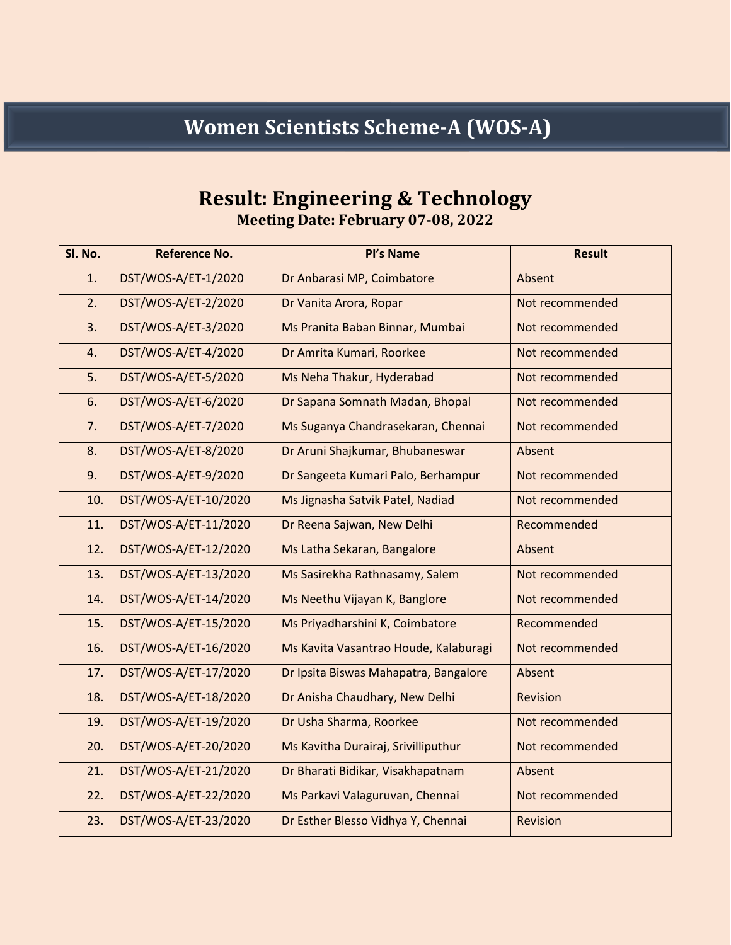## **Women Scientists Scheme-A (WOS-A)**

## **Result: Engineering & Technology**

**Meeting Date: February 07-08, 2022**

| Sl. No. | <b>Reference No.</b> | Pl's Name                             | <b>Result</b>   |
|---------|----------------------|---------------------------------------|-----------------|
| 1.      | DST/WOS-A/ET-1/2020  | Dr Anbarasi MP, Coimbatore            | Absent          |
| 2.      | DST/WOS-A/ET-2/2020  | Dr Vanita Arora, Ropar                | Not recommended |
| 3.      | DST/WOS-A/ET-3/2020  | Ms Pranita Baban Binnar, Mumbai       | Not recommended |
| 4.      | DST/WOS-A/ET-4/2020  | Dr Amrita Kumari, Roorkee             | Not recommended |
| 5.      | DST/WOS-A/ET-5/2020  | Ms Neha Thakur, Hyderabad             | Not recommended |
| 6.      | DST/WOS-A/ET-6/2020  | Dr Sapana Somnath Madan, Bhopal       | Not recommended |
| 7.      | DST/WOS-A/ET-7/2020  | Ms Suganya Chandrasekaran, Chennai    | Not recommended |
| 8.      | DST/WOS-A/ET-8/2020  | Dr Aruni Shajkumar, Bhubaneswar       | Absent          |
| 9.      | DST/WOS-A/ET-9/2020  | Dr Sangeeta Kumari Palo, Berhampur    | Not recommended |
| 10.     | DST/WOS-A/ET-10/2020 | Ms Jignasha Satvik Patel, Nadiad      | Not recommended |
| 11.     | DST/WOS-A/ET-11/2020 | Dr Reena Sajwan, New Delhi            | Recommended     |
| 12.     | DST/WOS-A/ET-12/2020 | Ms Latha Sekaran, Bangalore           | Absent          |
| 13.     | DST/WOS-A/ET-13/2020 | Ms Sasirekha Rathnasamy, Salem        | Not recommended |
| 14.     | DST/WOS-A/ET-14/2020 | Ms Neethu Vijayan K, Banglore         | Not recommended |
| 15.     | DST/WOS-A/ET-15/2020 | Ms Priyadharshini K, Coimbatore       | Recommended     |
| 16.     | DST/WOS-A/ET-16/2020 | Ms Kavita Vasantrao Houde, Kalaburagi | Not recommended |
| 17.     | DST/WOS-A/ET-17/2020 | Dr Ipsita Biswas Mahapatra, Bangalore | Absent          |
| 18.     | DST/WOS-A/ET-18/2020 | Dr Anisha Chaudhary, New Delhi        | Revision        |
| 19.     | DST/WOS-A/ET-19/2020 | Dr Usha Sharma, Roorkee               | Not recommended |
| 20.     | DST/WOS-A/ET-20/2020 | Ms Kavitha Durairaj, Srivilliputhur   | Not recommended |
| 21.     | DST/WOS-A/ET-21/2020 | Dr Bharati Bidikar, Visakhapatnam     | Absent          |
| 22.     | DST/WOS-A/ET-22/2020 | Ms Parkavi Valaguruvan, Chennai       | Not recommended |
| 23.     | DST/WOS-A/ET-23/2020 | Dr Esther Blesso Vidhya Y, Chennai    | Revision        |